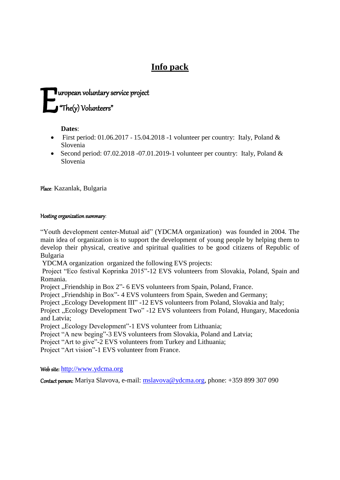# **Info pack**

# $\blacksquare$ uropean voluntary service project "The(y) Volunteers"  $\mathbf{E}^{\tiny{\text{un}}}_{\tiny{\text{un}}}$

**Dates**:

- First period:  $01.06.2017 15.04.2018 1$  volunteer per country: Italy, Poland & Slovenia
- Second period:  $07.02.2018 07.01.2019 1$  volunteer per country: Italy, Poland & Slovenia

Place: Kazanlak, Bulgaria

# Hosting organization summary:

"Youth development center-Mutual aid" (YDCMA organization) was founded in 2004. The main idea of organization is to support the development of young people by helping them to develop their physical, creative and spiritual qualities to be good citizens of Republic of Bulgaria

YDCMA organization organized the following EVS projects:

Project "Eco festival Koprinka 2015"-12 EVS volunteers from Slovakia, Poland, Spain and Romania.

Project "Friendship in Box 2"- 6 EVS volunteers from Spain, Poland, France.

Project "Friendship in Box"- 4 EVS volunteers from Spain, Sweden and Germany;

Project "Ecology Development III" -12 EVS volunteers from Poland, Slovakia and Italy;

Project "Ecology Development Two" -12 EVS volunteers from Poland, Hungary, Macedonia and Latvia;

Project "Ecology Development"-1 EVS volunteer from Lithuania;

Project "A new beging"-3 EVS volunteers from Slovakia, Poland and Latvia;

Project "Art to give"-2 EVS volunteers from Turkey and Lithuania;

Project "Art vision"-1 EVS volunteer from France.

Web site: [http://www.ydcma.org](http://www.ydcma.org/)

Contact person: Mariya Slavova, e-mail: [mslavova@ydcma.org,](mailto:mslavova@ydcma.org) phone: +359 899 307 090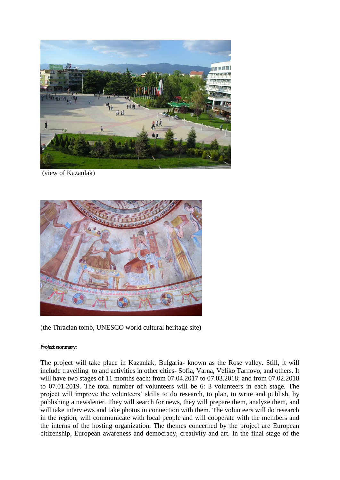

(view of Kazanlak)



(the Thracian tomb, UNESCO world cultural heritage site)

# Project summary:

The project will take place in Kazanlak, Bulgaria- known as the Rose valley. Still, it will include travelling to and activities in other cities- Sofia, Varna, Veliko Tarnovo, and others. It will have two stages of 11 months each: from 07.04.2017 to 07.03.2018; and from 07.02.2018 to 07.01.2019. The total number of volunteers will be 6: 3 volunteers in each stage. The project will improve the volunteers' skills to do research, to plan, to write and publish, by publishing a newsletter. They will search for news, they will prepare them, analyze them, and will take interviews and take photos in connection with them. The volunteers will do research in the region, will communicate with local people and will cooperate with the members and the interns of the hosting organization. The themes concerned by the project are European citizenship, European awareness and democracy, creativity and art. In the final stage of the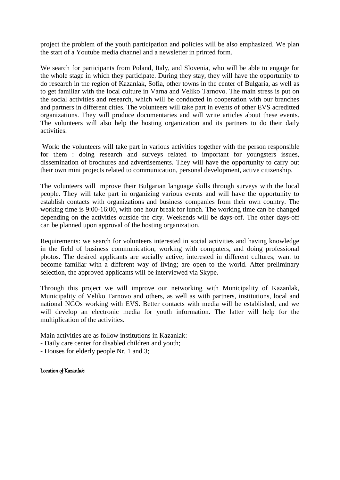project the problem of the youth participation and policies will be also emphasized. We plan the start of a Youtube media channel and a newsletter in printed form.

We search for participants from Poland, Italy, and Slovenia, who will be able to engage for the whole stage in which they participate. During they stay, they will have the opportunity to do research in the region of Kazanlak, Sofia, other towns in the center of Bulgaria, as well as to get familiar with the local culture in Varna and Veliko Tarnovo. The main stress is put on the social activities and research, which will be conducted in cooperation with our branches and partners in different cities. The volunteers will take part in events of other EVS acreditted organizations. They will produce documentaries and will write articles about these events. The volunteers will also help the hosting organization and its partners to do their daily activities.

Work: the volunteers will take part in various activities together with the person responsible for them : doing research and surveys related to important for youngsters issues, dissemination of brochures and advertisements. They will have the opportunity to carry out their own mini projects related to communication, personal development, active citizenship.

The volunteers will improve their Bulgarian language skills through surveys with the local people. They will take part in organizing various events and will have the opportunity to establish contacts with organizations and business companies from their own country. The working time is 9:00-16:00, with one hour break for lunch. The working time can be changed depending on the activities outside the city. Weekends will be days-off. The other days-off can be planned upon approval of the hosting organization.

Requirements: we search for volunteers interested in social activities and having knowledge in the field of business communication, working with computers, and doing professional photos. The desired applicants are socially active; interested in different cultures; want to become familiar with a different way of living; are open to the world. After preliminary selection, the approved applicants will be interviewed via Skype.

Through this project we will improve our networking with Municipality of Kazanlak, Municipality of Veliko Tarnovo and others, as well as with partners, institutions, local and national NGOs working with EVS. Better contacts with media will be established, and we will develop an electronic media for youth information. The latter will help for the multiplication of the activities.

Main activities are as follow institutions in Kazanlak:

- Daily care center for disabled children and youth;
- Houses for elderly people Nr. 1 and 3;

Location of Kazanlak: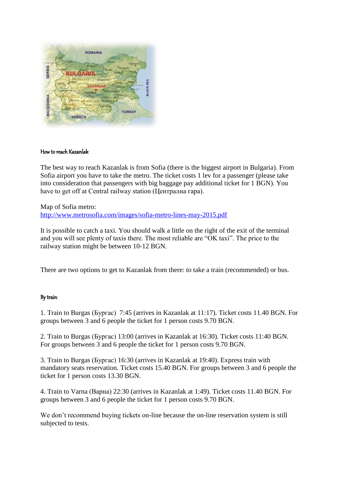

# How to reach Kazanlak:

The best way to reach Kazanlak is from Sofia (there is the biggest airport in Bulgaria). From Sofia airport you have to take the metro. The ticket costs 1 lev for a passenger (please take into consideration that passengers with big baggage pay additional ticket for 1 BGN). You have to get off at Central railway station (Централна гара).

Map of Sofia metro: <http://www.metrosofia.com/images/sofia-metro-lines-may-2015.pdf>

It is possible to catch a taxi. You should walk a little on the right of the exit of the terminal and you will see plenty of taxis there. The most reliable are "OK taxi". The price to the railway station might be between 10-12 BGN.

There are two options to get to Kazanlak from there: to take a train (recommended) or bus.

# By train:

1. Train to Burgas (Бургас) 7:45 (arrives in Kazanlak at 11:17). Ticket costs 11.40 BGN. For groups between 3 and 6 people the ticket for 1 person costs 9.70 BGN.

2. Train to Burgas (Бургас) 13:00 (arrives in Kazanlak at 16:30). Ticket costs 11:40 BGN. For groups between 3 and 6 people the ticket for 1 person costs 9.70 BGN.

3. Train to Burgas (Бургас) 16:30 (arrives in Kazanlak at 19:40). Express train with mandatory seats reservation. Ticket costs 15.40 BGN. For groups between 3 and 6 people the ticket for 1 person costs 13.30 BGN.

4. Train to Varna (Варна) 22:30 (arrives in Kazanlak at 1:49). Ticket costs 11.40 BGN. For groups between 3 and 6 people the ticket for 1 person costs 9.70 BGN.

We don't recommend buying tickets on-line because the on-line reservation system is still subjected to tests.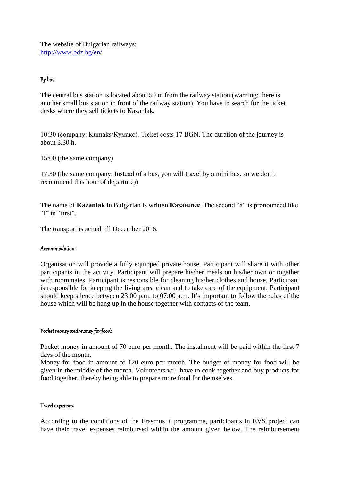The website of Bulgarian railways: <http://www.bdz.bg/en/>

# By bus:

The central bus station is located about 50 m from the railway station (warning: there is another small bus station in front of the railway station). You have to search for the ticket desks where they sell tickets to Kazanlak.

10:30 (company: Kumaks/Кумакс). Ticket costs 17 BGN. The duration of the journey is about 3.30 h.

15:00 (the same company)

17:30 (the same company. Instead of a bus, you will travel by a mini bus, so we don't recommend this hour of departure))

The name of **Kazanlak** in Bulgarian is written **Казанлък**. The second "a" is pronounced like "I" in "first".

The transport is actual till December 2016.

#### Accommodation:

Organisation will provide a fully equipped private house. Participant will share it with other participants in the activity. Participant will prepare his/her meals on his/her own or together with roommates. Participant is responsible for cleaning his/her clothes and house. Participant is responsible for keeping the living area clean and to take care of the equipment. Participant should keep silence between 23:00 p.m. to 07:00 a.m. It's important to follow the rules of the house which will be hang up in the house together with contacts of the team.

# Pocket money and money for food:

Pocket money in amount of 70 euro per month. The instalment will be paid within the first 7 days of the month.

Money for food in amount of 120 euro per month. The budget of money for food will be given in the middle of the month. Volunteers will have to cook together and buy products for food together, thereby being able to prepare more food for themselves.

#### Travel expenses:

According to the conditions of the Erasmus + programme, participants in EVS project can have their travel expenses reimbursed within the amount given below. The reimbursement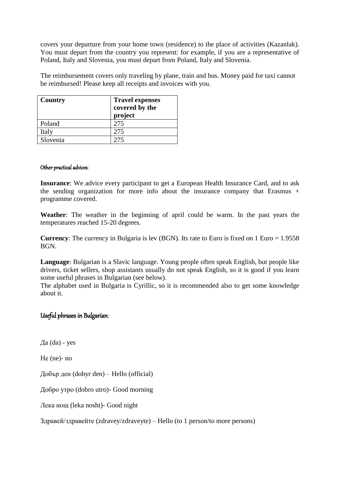covers your departure from your home town (residence) to the place of activities (Kazanlak). You must depart from the country you represent: for example, if you are a representative of Poland, Italy and Slovenia, you must depart from Poland, Italy and Slovenia.

The reimbursement covers only traveling by plane, train and bus. Money paid for taxi cannot be reimbursed! Please keep all receipts and invoices with you.

| Country  | <b>Travel expenses</b><br>covered by the<br>project |
|----------|-----------------------------------------------------|
| Poland   | 275                                                 |
| Italy    | 275                                                 |
| Slovenia | 275                                                 |

# Other practical advices:

**Insurance**: We advice every participant to get a European Health Insurance Card, and to ask the sending organization for more info about the insurance company that Erasmus + programme covered.

**Weather**: The weather in the beginning of april could be warm. In the past years the temperatures reached 15-20 degrees.

**Currency**: The currency in Bulgaria is lev (BGN). Its rate to Euro is fixed on 1 Euro = 1.9558 BGN.

**Language**: Bulgarian is a Slavic language. Young people often speak English, but people like drivers, ticket sellers, shop assistants usually do not speak English, so it is good if you learn some useful phrases in Bulgarian (see below).

The alphabet used in Bulgaria is Cyrillic, so it is recommended also to get some knowledge about it.

# Useful phrases in Bulgarian:

Да (da) - yes

Не (ne)- no

Добър ден (dobyr den) – Hello (official)

Добро утро (dobro utro)- Good morning

Лека нощ (leka nosht)- Good night

Здравей/здравейте (zdravey/zdraveyte) – Hello (to 1 person/to more persons)